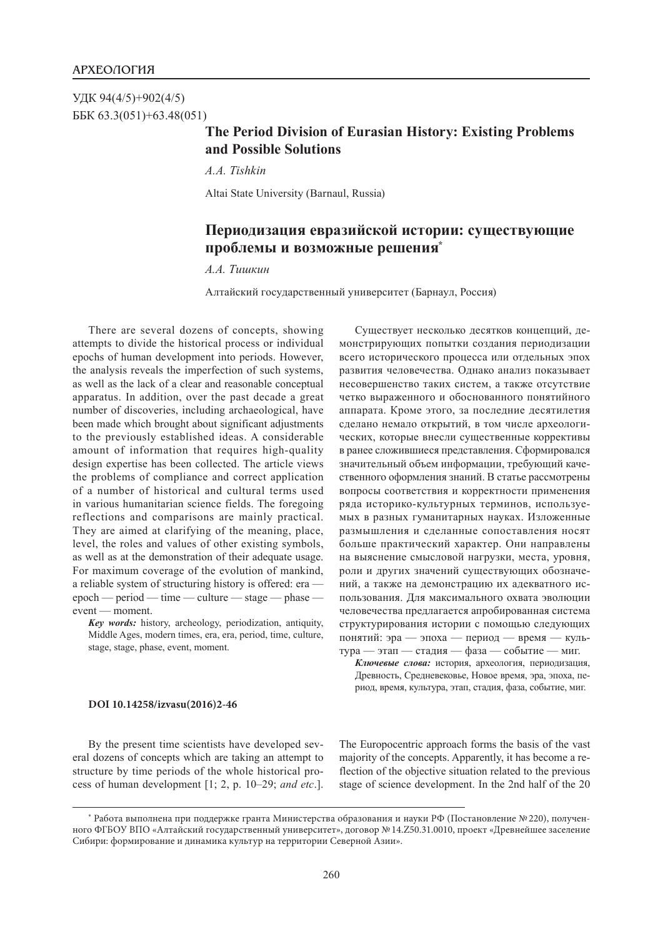УДК 94(4/5)+902(4/5) ББК 63.3(051)+63.48(051)

## **The Period Division of Eurasian History: Existing Problems and Possible Solutions**

*A.A. Tishkin*

Altai State University (Barnaul, Russia)

## **Периодизация евразийской истории: существующие проблемы и возможные решения\***

*А.А. Тишкин*

Алтайский государственный университет (Барнаул, Россия)

There are several dozens of concepts, showing attempts to divide the historical process or individual epochs of human development into periods. However, the analysis reveals the imperfection of such systems, as well as the lack of a clear and reasonable conceptual apparatus. In addition, over the past decade a great number of discoveries, including archaeological, have been made which brought about significant adjustments to the previously established ideas. A considerable amount of information that requires high-quality design expertise has been collected. The article views the problems of compliance and correct application of a number of historical and cultural terms used in various humanitarian science fields. The foregoing reflections and comparisons are mainly practical. They are aimed at clarifying of the meaning, place, level, the roles and values of other existing symbols, as well as at the demonstration of their adequate usage. For maximum coverage of the evolution of mankind, a reliable system of structuring history is offered: era epoch — period — time — culture — stage — phase event — moment.

*Key words:* history, archeology, periodization, antiquity, Middle Ages, modern times, era, era, period, time, culture, stage, stage, phase, event, moment.

Существует несколько десятков концепций, демонстрирующих попытки создания периодизации всего исторического процесса или отдельных эпох развития человечества. Однако анализ показывает несовершенство таких систем, а также отсутствие четко выраженного и обоснованного понятийного аппарата. Кроме этого, за последние десятилетия сделано немало открытий, в том числе археологических, которые внесли существенные коррективы в ранее сложившиеся представления. Сформировался значительный объем информации, требующий качественного оформления знаний. В статье рассмотрены вопросы соответствия и корректности применения ряда историко-культурных терминов, используемых в разных гуманитарных науках. Изложенные размышления и сделанные сопоставления носят больше практический характер. Они направлены на выяснение смысловой нагрузки, места, уровня, роли и других значений существующих обозначений, а также на демонстрацию их адекватного использования. Для максимального охвата эволюции человечества предлагается апробированная система структурирования истории с помощью следующих понятий: эра — эпоха — период — время — культура — этап — стадия — фаза — событие — миг.

*Ключевые слова:* история, археология, периодизация, Древность, Средневековье, Новое время, эра, эпоха, период, время, культура, этап, стадия, фаза, событие, миг.

## **DOI 10.14258/izvasu(2016)2-46**

By the present time scientists have developed several dozens of concepts which are taking an attempt to structure by time periods of the whole historical process of human development [1; 2, р. 10–29; *and etc*.]. The Europocentric approach forms the basis of the vast majority of the concepts. Apparently, it has become a reflection of the objective situation related to the previous stage of science development. In the 2nd half of the 20

<sup>\*</sup> Работа выполнена при поддержке гранта Министерства образования и науки РФ (Постановление №220), получен‑ ного ФГБОУ ВПО «Алтайский государственный университет», договор №14.Z50.31.0010, проект «Древнейшее заселение Сибири: формирование и динамика культур на территории Северной Азии».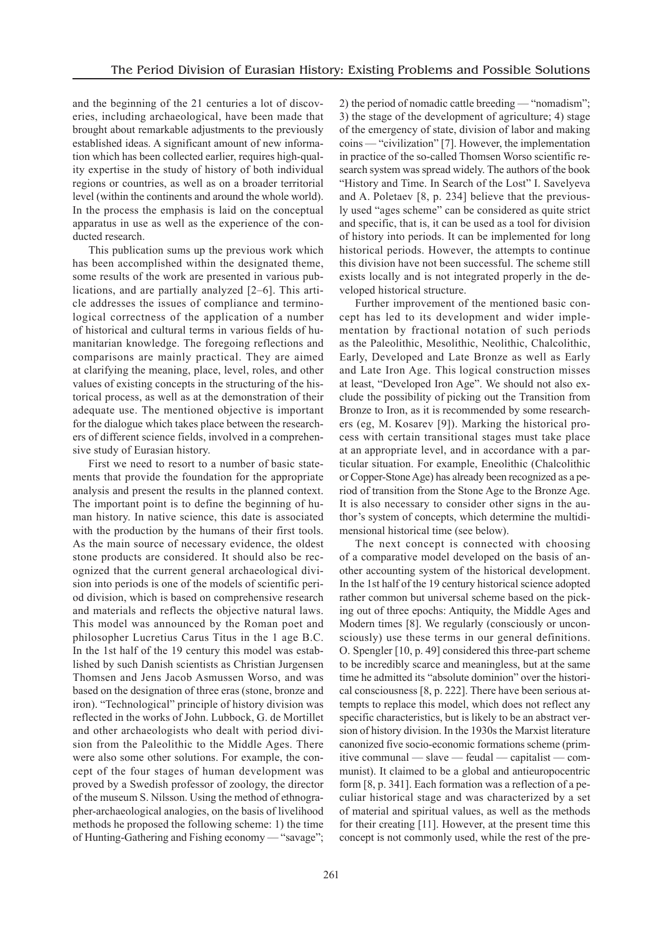and the beginning of the 21 centuries a lot of discoveries, including archaeological, have been made that brought about remarkable adjustments to the previously established ideas. A significant amount of new information which has been collected earlier, requires high-quality expertise in the study of history of both individual regions or countries, as well as on a broader territorial level (within the continents and around the whole world). In the process the emphasis is laid on the conceptual apparatus in use as well as the experience of the conducted research.

This publication sums up the previous work which has been accomplished within the designated theme, some results of the work are presented in various publications, and are partially analyzed [2–6]. This article addresses the issues of compliance and terminological correctness of the application of a number of historical and cultural terms in various fields of humanitarian knowledge. The foregoing reflections and comparisons are mainly practical. They are aimed at clarifying the meaning, place, level, roles, and other values of existing concepts in the structuring of the historical process, as well as at the demonstration of their adequate use. The mentioned objective is important for the dialogue which takes place between the researchers of different science fields, involved in a comprehensive study of Eurasian history.

First we need to resort to a number of basic statements that provide the foundation for the appropriate analysis and present the results in the planned context. The important point is to define the beginning of human history. In native science, this date is associated with the production by the humans of their first tools. As the main source of necessary evidence, the oldest stone products are considered. It should also be recognized that the current general archaeological division into periods is one of the models of scientific period division, which is based on comprehensive research and materials and reflects the objective natural laws. This model was announced by the Roman poet and philosopher Lucretius Carus Titus in the 1 age B.C. In the 1st half of the 19 century this model was established by such Danish scientists as Christian Jurgensen Thomsen and Jens Jacob Asmussen Worso, and was based on the designation of three eras (stone, bronze and iron). "Technological" principle of history division was reflected in the works of John. Lubbock, G. de Mortillet and other archaeologists who dealt with period division from the Paleolithic to the Middle Ages. There were also some other solutions. For example, the concept of the four stages of human development was proved by a Swedish professor of zoology, the director of the museum S. Nilsson. Using the method of ethnographer-archaeological analogies, on the basis of livelihood methods he proposed the following scheme: 1) the time of Hunting-Gathering and Fishing economy — "savage"; 2) the period of nomadic cattle breeding — "nomadism"; 3) the stage of the development of agriculture; 4) stage of the emergency of state, division of labor and making coins — "civilization" [7]. However, the implementation in practice of the so-called Thomsen Worso scientific research system was spread widely. The authors of the book "History and Time. In Search of the Lost" I. Savelyeva and A. Poletaev [8, p. 234] believe that the previously used "ages scheme" can be considered as quite strict and specific, that is, it can be used as a tool for division of history into periods. It can be implemented for long historical periods. However, the attempts to continue this division have not been successful. The scheme still exists locally and is not integrated properly in the developed historical structure.

Further improvement of the mentioned basic concept has led to its development and wider implementation by fractional notation of such periods as the Paleolithic, Mesolithic, Neolithic, Chalcolithic, Early, Developed and Late Bronze as well as Early and Late Iron Age. This logical construction misses at least, "Developed Iron Age". We should not also exclude the possibility of picking out the Transition from Bronze to Iron, as it is recommended by some researchers (eg, M. Kosarev [9]). Marking the historical process with certain transitional stages must take place at an appropriate level, and in accordance with a particular situation. For example, Eneolithic (Chalcolithic or Copper-StoneAge) has already been recognized as a period of transition from the Stone Age to the Bronze Age. It is also necessary to consider other signs in the author's system of concepts, which determine the multidimensional historical time (see below).

The next concept is connected with choosing of a comparative model developed on the basis of another accounting system of the historical development. In the 1st half of the 19 century historical science adopted rather common but universal scheme based on the picking out of three epochs: Antiquity, the Middle Ages and Modern times [8]. We regularly (consciously or unconsciously) use these terms in our general definitions. O. Spengler [10, p. 49] considered this three-part scheme to be incredibly scarce and meaningless, but at the same time he admitted its "absolute dominion" over the historical consciousness [8, p. 222]. There have been serious attempts to replace this model, which does not reflect any specific characteristics, but is likely to be an abstract version of history division. In the 1930s the Marxist literature canonized five socio-economic formations scheme (primitive communal — slave — feudal — capitalist — communist). It claimed to be a global and antieuropocentric form [8, p. 341]. Each formation was a reflection of a peculiar historical stage and was characterized by a set of material and spiritual values, as well as the methods for their creating [11]. However, at the present time this concept is not commonly used, while the rest of the pre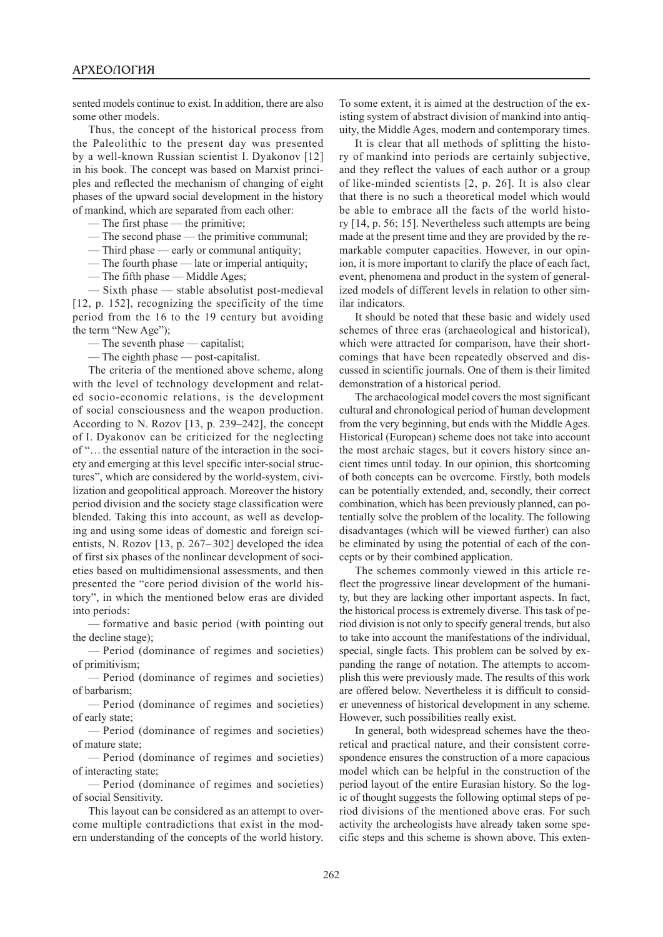sented models continue to exist. In addition, there are also some other models.

Thus, the concept of the historical process from the Paleolithic to the present day was presented by a well-known Russian scientist I. Dyakonov [12] in his book. The concept was based on Marxist principles and reflected the mechanism of changing of eight phases of the upward social development in the history of mankind, which are separated from each other:

- The first phase the primitive;
- The second phase the primitive communal;
- Third phase early or communal antiquity;
- The fourth phase late or imperial antiquity;
- The fifth phase Middle Ages;

— Sixth phase — stable absolutist post-medieval [12, p. 152], recognizing the specificity of the time period from the 16 to the 19 century but avoiding the term "New Age");

— The seventh phase — capitalist;

— The eighth phase — post-capitalist.

The criteria of the mentioned above scheme, along with the level of technology development and related socio-economic relations, is the development of social consciousness and the weapon production. According to N. Rozov [13, p. 239–242], the concept of I. Dyakonov can be criticized for the neglecting of "…the essential nature of the interaction in the society and emerging at this level specific inter-social structures", which are considered by the world-system, civilization and geopolitical approach. Moreover the history period division and the society stage classification were blended. Taking this into account, as well as developing and using some ideas of domestic and foreign scientists, N. Rozov [13, p. 267– 302] developed the idea of first six phases of the nonlinear development of societies based on multidimensional assessments, and then presented the "core period division of the world history", in which the mentioned below eras are divided into periods:

— formative and basic period (with pointing out the decline stage);

— Period (dominance of regimes and societies) of primitivism;

— Period (dominance of regimes and societies) of barbarism;

— Period (dominance of regimes and societies) of early state;

— Period (dominance of regimes and societies) of mature state;

— Period (dominance of regimes and societies) of interacting state;

— Period (dominance of regimes and societies) of social Sensitivity.

This layout can be considered as an attempt to overcome multiple contradictions that exist in the modern understanding of the concepts of the world history.

To some extent, it is aimed at the destruction of the existing system of abstract division of mankind into antiquity, the Middle Ages, modern and contemporary times.

It is clear that all methods of splitting the history of mankind into periods are certainly subjective, and they reflect the values of each author or a group of like-minded scientists [2, p. 26]. It is also clear that there is no such a theoretical model which would be able to embrace all the facts of the world history [14, p. 56; 15]. Nevertheless such attempts are being made at the present time and they are provided by the remarkable computer capacities. However, in our opinion, it is more important to clarify the place of each fact, event, phenomena and product in the system of generalized models of different levels in relation to other similar indicators.

It should be noted that these basic and widely used schemes of three eras (archaeological and historical), which were attracted for comparison, have their shortcomings that have been repeatedly observed and discussed in scientific journals. One of them is their limited demonstration of a historical period.

The archaeological model covers the most significant cultural and chronological period of human development from the very beginning, but ends with the Middle Ages. Historical (European) scheme does not take into account the most archaic stages, but it covers history since ancient times until today. In our opinion, this shortcoming of both concepts can be overcome. Firstly, both models can be potentially extended, and, secondly, their correct combination, which has been previously planned, can potentially solve the problem of the locality. The following disadvantages (which will be viewed further) can also be eliminated by using the potential of each of the concepts or by their combined application.

The schemes commonly viewed in this article reflect the progressive linear development of the humanity, but they are lacking other important aspects. In fact, the historical process is extremely diverse. This task of period division is not only to specify general trends, but also to take into account the manifestations of the individual, special, single facts. This problem can be solved by expanding the range of notation. The attempts to accomplish this were previously made. The results of this work are offered below. Nevertheless it is difficult to consider unevenness of historical development in any scheme. However, such possibilities really exist.

In general, both widespread schemes have the theoretical and practical nature, and their consistent correspondence ensures the construction of a more capacious model which can be helpful in the construction of the period layout of the entire Eurasian history. So the logic of thought suggests the following optimal steps of period divisions of the mentioned above eras. For such activity the archeologists have already taken some specific steps and this scheme is shown above. This exten-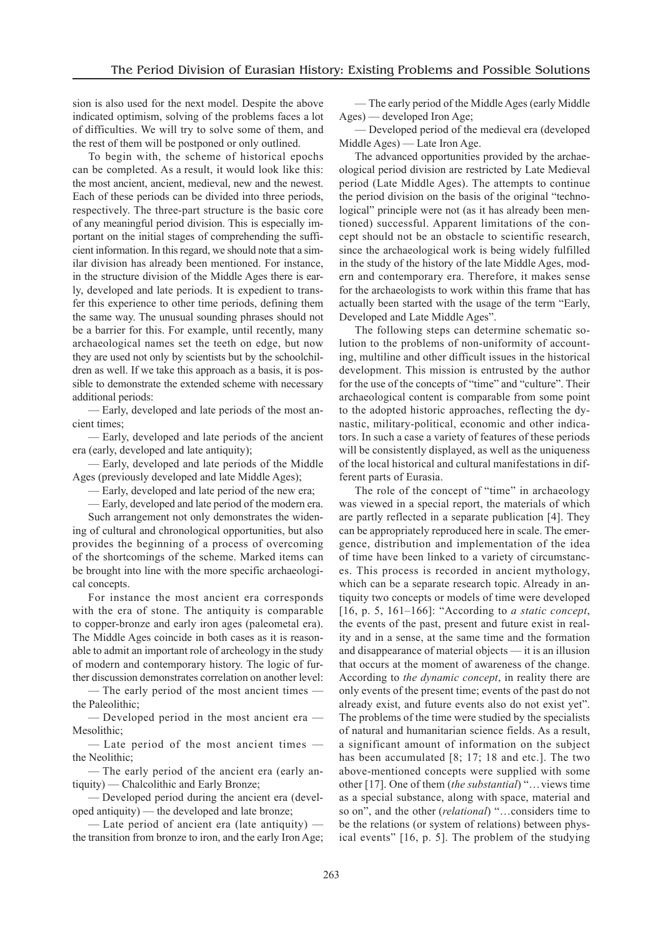sion is also used for the next model. Despite the above indicated optimism, solving of the problems faces a lot of difficulties. We will try to solve some of them, and the rest of them will be postponed or only outlined.

To begin with, the scheme of historical epochs can be completed. As a result, it would look like this: the most ancient, ancient, medieval, new and the newest. Each of these periods can be divided into three periods, respectively. The three-part structure is the basic core of any meaningful period division. This is especially important on the initial stages of comprehending the sufficient information. In thisregard, we should note that a similar division has already been mentioned. For instance, in the structure division of the Middle Ages there is early, developed and late periods. It is expedient to transfer this experience to other time periods, defining them the same way. The unusual sounding phrases should not be a barrier for this. For example, until recently, many archaeological names set the teeth on edge, but now they are used not only by scientists but by the schoolchildren as well. If we take this approach as a basis, it is possible to demonstrate the extended scheme with necessary additional periods:

— Early, developed and late periods of the most ancient times;

— Early, developed and late periods of the ancient era (early, developed and late antiquity);

— Early, developed and late periods of the Middle Ages (previously developed and late Middle Ages);

— Early, developed and late period of the new era;

— Early, developed and late period of the modern era.

Such arrangement not only demonstrates the widening of cultural and chronological opportunities, but also provides the beginning of a process of overcoming of the shortcomings of the scheme. Marked items can be brought into line with the more specific archaeological concepts.

For instance the most ancient era corresponds with the era of stone. The antiquity is comparable to copper-bronze and early iron ages (paleometal era). The Middle Ages coincide in both cases as it is reasonable to admit an important role of archeology in the study of modern and contemporary history. The logic of further discussion demonstrates correlation on another level:

— The early period of the most ancient times the Paleolithic;

— Developed period in the most ancient era — Mesolithic;

— Late period of the most ancient times the Neolithic;

— The early period of the ancient era (early antiquity) — Chalcolithic and Early Bronze;

— Developed period during the ancient era (developed antiquity) — the developed and late bronze;

— Late period of ancient era (late antiquity) the transition from bronze to iron, and the early Iron Age;

— The early period of the Middle Ages (early Middle Ages) — developed Iron Age;

— Developed period of the medieval era (developed Middle Ages) — Late Iron Age.

The advanced opportunities provided by the archaeological period division are restricted by Late Medieval period (Late Middle Ages). The attempts to continue the period division on the basis of the original "technological" principle were not (as it has already been mentioned) successful. Apparent limitations of the concept should not be an obstacle to scientific research, since the archaeological work is being widely fulfilled in the study of the history of the late Middle Ages, modern and contemporary era. Therefore, it makes sense for the archaeologists to work within this frame that has actually been started with the usage of the term "Early, Developed and Late Middle Ages".

The following steps can determine schematic solution to the problems of non-uniformity of accounting, multiline and other difficult issues in the historical development. This mission is entrusted by the author for the use of the concepts of "time" and "culture". Their archaeological content is comparable from some point to the adopted historic approaches, reflecting the dynastic, military-political, economic and other indicators. In such a case a variety of features of these periods will be consistently displayed, as well as the uniqueness of the local historical and cultural manifestations in different parts of Eurasia.

The role of the concept of "time" in archaeology was viewed in a special report, the materials of which are partly reflected in a separate publication [4]. They can be appropriately reproduced here in scale. The emergence, distribution and implementation of the idea of time have been linked to a variety of circumstances. This process is recorded in ancient mythology, which can be a separate research topic. Already in antiquity two concepts or models of time were developed [16, p. 5, 161–166]: "According to *a static concept*, the events of the past, present and future exist in reality and in a sense, at the same time and the formation and disappearance of material objects — it is an illusion that occurs at the moment of awareness of the change. According to *the dynamic concept*, in reality there are only events of the present time; events of the past do not already exist, and future events also do not exist yet". The problems of the time were studied by the specialists of natural and humanitarian science fields. As a result, a significant amount of information on the subject has been accumulated [8; 17; 18 and etc.]. The two above-mentioned concepts were supplied with some other [17]. One of them (*the substantial*) "… views time as a special substance, along with space, material and so on", and the other (*relational*) "…considers time to be the relations (or system of relations) between physical events" [16, p. 5]. The problem of the studying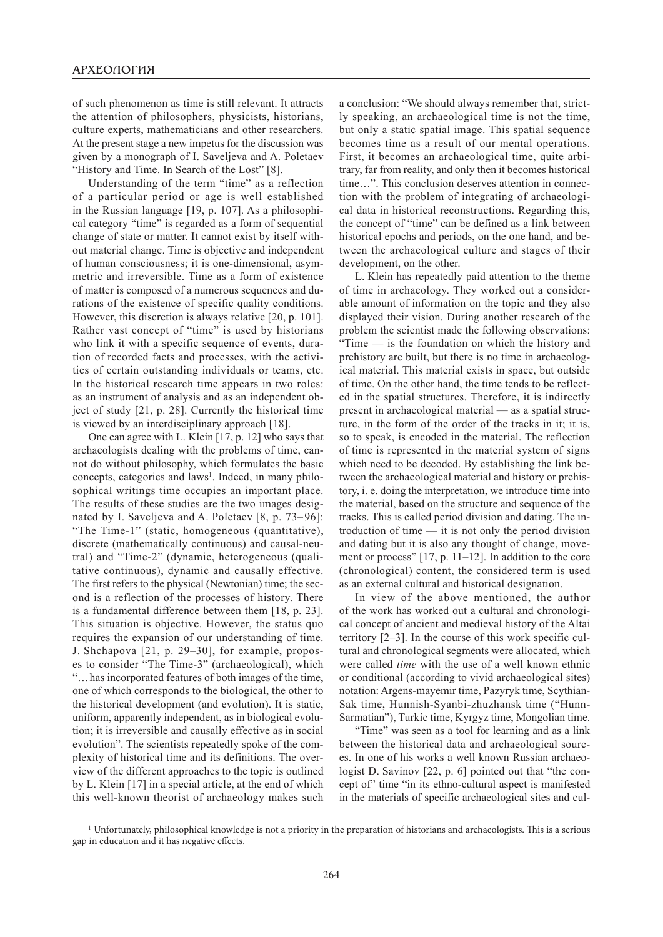of such phenomenon as time is still relevant. It attracts the attention of philosophers, physicists, historians, culture experts, mathematicians and other researchers. At the present stage a new impetus for the discussion was given by a monograph of I. Saveljeva and A. Poletaev "History and Time. In Search of the Lost" [8].

Understanding of the term "time" as a reflection of a particular period or age is well established in the Russian language [19, p. 107]. As a philosophical category "time" is regarded as a form of sequential change of state or matter. It cannot exist by itself without material change. Time is objective and independent of human consciousness; it is one-dimensional, asymmetric and irreversible. Time as a form of existence of matter is composed of a numerous sequences and durations of the existence of specific quality conditions. However, this discretion is always relative [20, p. 101]. Rather vast concept of "time" is used by historians who link it with a specific sequence of events, duration of recorded facts and processes, with the activities of certain outstanding individuals or teams, etc. In the historical research time appears in two roles: as an instrument of analysis and as an independent object of study [21, p. 28]. Currently the historical time is viewed by an interdisciplinary approach [18].

One can agree with L. Klein [17, p. 12] who says that archaeologists dealing with the problems of time, cannot do without philosophy, which formulates the basic concepts, categories and laws<sup>1</sup>. Indeed, in many philosophical writings time occupies an important place. The results of these studies are the two images designated by I. Saveljeva and A. Poletaev [8, p. 73–96]: "The Time-1" (static, homogeneous (quantitative), discrete (mathematically continuous) and causal-neutral) and "Time-2" (dynamic, heterogeneous (qualitative continuous), dynamic and causally effective. The first refers to the physical (Newtonian) time; the second is a reflection of the processes of history. There is a fundamental difference between them [18, p. 23]. This situation is objective. However, the status quo requires the expansion of our understanding of time. J. Shchapova [21, p. 29–30], for example, proposes to consider "The Time-3" (archaeological), which "… has incorporated features of both images of the time, one of which corresponds to the biological, the other to the historical development (and evolution). It is static, uniform, apparently independent, as in biological evolution; it is irreversible and causally effective as in social evolution". The scientists repeatedly spoke of the complexity of historical time and its definitions. The overview of the different approaches to the topic is outlined by L. Klein [17] in a special article, at the end of which this well-known theorist of archaeology makes such

a conclusion: "We should always remember that, strictly speaking, an archaeological time is not the time, but only a static spatial image. This spatial sequence becomes time as a result of our mental operations. First, it becomes an archaeological time, quite arbitrary, far from reality, and only then it becomes historical time…". This conclusion deserves attention in connection with the problem of integrating of archaeological data in historical reconstructions. Regarding this, the concept of "time" can be defined as a link between historical epochs and periods, on the one hand, and between the archaeological culture and stages of their development, on the other.

L. Klein has repeatedly paid attention to the theme of time in archaeology. They worked out a considerable amount of information on the topic and they also displayed their vision. During another research of the problem the scientist made the following observations: "Time — is the foundation on which the history and prehistory are built, but there is no time in archaeological material. This material exists in space, but outside of time. On the other hand, the time tends to be reflected in the spatial structures. Therefore, it is indirectly present in archaeological material — as a spatial structure, in the form of the order of the tracks in it; it is, so to speak, is encoded in the material. The reflection of time is represented in the material system of signs which need to be decoded. By establishing the link between the archaeological material and history or prehistory, i. e. doing the interpretation, we introduce time into the material, based on the structure and sequence of the tracks. This is called period division and dating. The introduction of time — it is not only the period division and dating but it is also any thought of change, movement or process" [17, p. 11–12]. In addition to the core (chronological) content, the considered term is used as an external cultural and historical designation.

In view of the above mentioned, the author of the work has worked out a cultural and chronological concept of ancient and medieval history of the Altai territory [2–3]. In the course of this work specific cultural and chronological segments were allocated, which were called *time* with the use of a well known ethnic or conditional (according to vivid archaeological sites) notation: Argens-mayemir time, Pazyryk time, Scythian-Sak time, Hunnish-Syanbi-zhuzhansk time ("Hunn-Sarmatian"), Turkic time, Kyrgyz time, Mongolian time.

"Time" was seen as a tool for learning and as a link between the historical data and archaeological sources. In one of his works a well known Russian archaeologist D. Savinov [22, p. 6] pointed out that "the concept of" time "in its ethno-cultural aspect is manifested in the materials of specific archaeological sites and cul-

<sup>1</sup> Unfortunately, philosophical knowledge is not a priority in the preparation of historians and archaeologists. This is a serious gap in education and it has negative effects.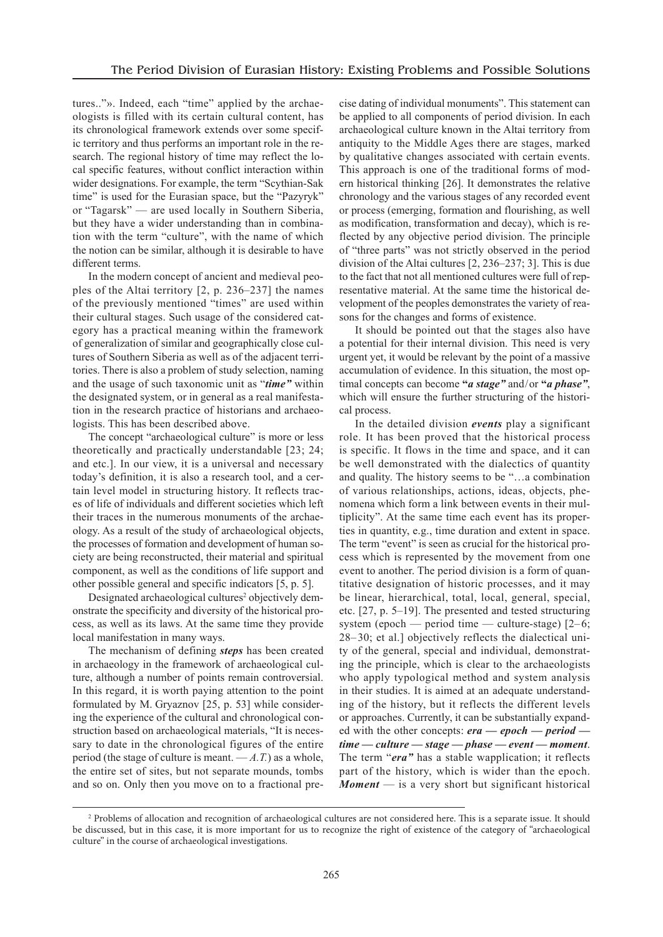tures.."». Indeed, each "time" applied by the archaeologists is filled with its certain cultural content, has its chronological framework extends over some specific territory and thus performs an important role in the research. The regional history of time may reflect the local specific features, without conflict interaction within wider designations. For example, the term "Scythian-Sak time" is used for the Eurasian space, but the "Pazyryk" or "Tagarsk" — are used locally in Southern Siberia, but they have a wider understanding than in combination with the term "culture", with the name of which the notion can be similar, although it is desirable to have different terms.

In the modern concept of ancient and medieval peoples of the Altai territory [2, p. 236–237] the names of the previously mentioned "times" are used within their cultural stages. Such usage of the considered category has a practical meaning within the framework of generalization of similar and geographically close cultures of Southern Siberia as well as of the adjacent territories. There is also a problem of study selection, naming and the usage of such taxonomic unit as "*time"* within the designated system, or in general as a real manifestation in the research practice of historians and archaeologists. This has been described above.

The concept "archaeological culture" is more or less theoretically and practically understandable [23; 24; and etc.]. In our view, it is a universal and necessary today's definition, it is also a research tool, and a certain level model in structuring history. It reflects traces of life of individuals and different societies which left their traces in the numerous monuments of the archaeology. As a result of the study of archaeological objects, the processes of formation and development of human society are being reconstructed, their material and spiritual component, as well as the conditions of life support and other possible general and specific indicators [5, p. 5].

Designated archaeological cultures<sup>2</sup> objectively demonstrate the specificity and diversity of the historical process, as well as its laws. At the same time they provide local manifestation in many ways.

The mechanism of defining *steps* has been created in archaeology in the framework of archaeological culture, although a number of points remain controversial. In this regard, it is worth paying attention to the point formulated by M. Gryaznov [25, p. 53] while considering the experience of the cultural and chronological construction based on archaeological materials, "It is necessary to date in the chronological figures of the entire period (the stage of culture is meant.  $-A.T$ ) as a whole, the entire set of sites, but not separate mounds, tombs and so on. Only then you move on to a fractional precise dating of individual monuments". This statement can be applied to all components of period division. In each archaeological culture known in the Altai territory from antiquity to the Middle Ages there are stages, marked by qualitative changes associated with certain events. This approach is one of the traditional forms of modern historical thinking [26]. It demonstrates the relative chronology and the various stages of any recorded event or process (emerging, formation and flourishing, as well as modification, transformation and decay), which is reflected by any objective period division. The principle of "three parts" was not strictly observed in the period division of the Altai cultures [2, 236–237; 3]. This is due to the fact that not all mentioned cultures were full of representative material. At the same time the historical development of the peoples demonstrates the variety of reasons for the changes and forms of existence.

It should be pointed out that the stages also have a potential for their internal division. This need is very urgent yet, it would be relevant by the point of a massive accumulation of evidence. In this situation, the most optimal concepts can become **"***a stage"* and / or **"***a phase"*, which will ensure the further structuring of the historical process.

In the detailed division *events* play a significant role. It has been proved that the historical process is specific. It flows in the time and space, and it can be well demonstrated with the dialectics of quantity and quality. The history seems to be "…a combination of various relationships, actions, ideas, objects, phenomena which form a link between events in their multiplicity". At the same time each event has its properties in quantity, e.g., time duration and extent in space. The term "event" is seen as crucial for the historical process which is represented by the movement from one event to another. The period division is a form of quantitative designation of historic processes, and it may be linear, hierarchical, total, local, general, special, etc. [27, p. 5–19]. The presented and tested structuring system (epoch — period time — culture-stage)  $[2-6;$ 28– 30; et al.] objectively reflects the dialectical unity of the general, special and individual, demonstrating the principle, which is clear to the archaeologists who apply typological method and system analysis in their studies. It is aimed at an adequate understanding of the history, but it reflects the different levels or approaches. Currently, it can be substantially expanded with the other concepts: *era — epoch — period time — culture — stage — phase — event — moment*. The term "*era"* has a stable wapplication; it reflects part of the history, which is wider than the epoch. *Moment* — is a very short but significant historical

<sup>&</sup>lt;sup>2</sup> Problems of allocation and recognition of archaeological cultures are not considered here. This is a separate issue. It should be discussed, but in this case, it is more important for us to recognize the right of existence of the category of "archaeological culture" in the course of archaeological investigations.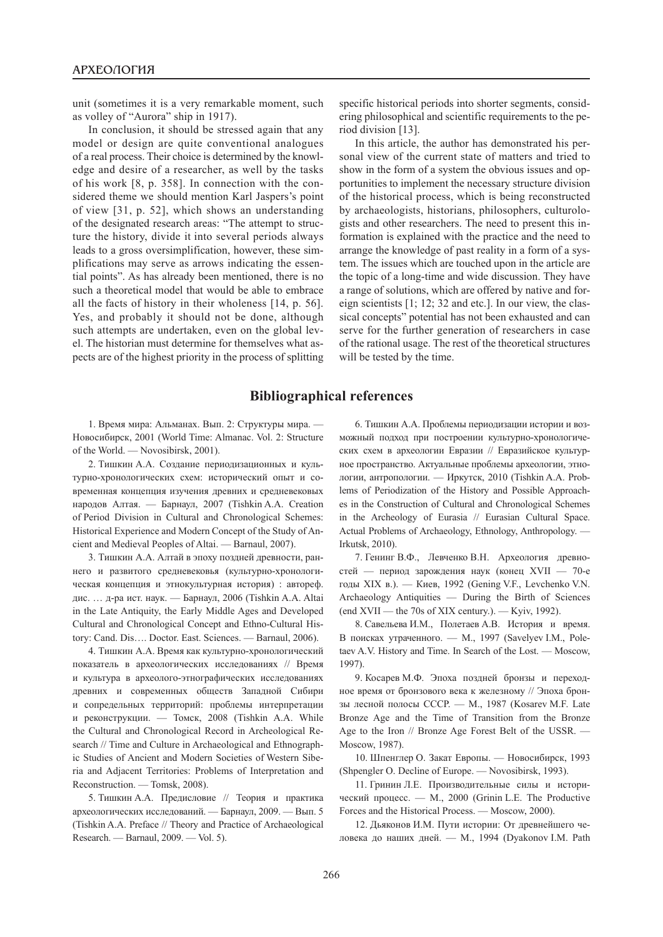unit (sometimes it is a very remarkable moment, such as volley of "Aurora" ship in 1917).

In conclusion, it should be stressed again that any model or design are quite conventional analogues of a real process. Their choice is determined by the knowledge and desire of a researcher, as well by the tasks of his work [8, p. 358]. In connection with the considered theme we should mention Karl Jaspers's point of view [31, p. 52], which shows an understanding of the designated research areas: "The attempt to structure the history, divide it into several periods always leads to a gross oversimplification, however, these simplifications may serve as arrows indicating the essential points". As has already been mentioned, there is no such a theoretical model that would be able to embrace all the facts of history in their wholeness [14, p. 56]. Yes, and probably it should not be done, although such attempts are undertaken, even on the global level. The historian must determine for themselves what aspects are of the highest priority in the process of splitting

specific historical periods into shorter segments, considering philosophical and scientific requirements to the period division [13].

In this article, the author has demonstrated his personal view of the current state of matters and tried to show in the form of a system the obvious issues and opportunities to implement the necessary structure division of the historical process, which is being reconstructed by archaeologists, historians, philosophers, culturologists and other researchers. The need to present this information is explained with the practice and the need to arrange the knowledge of past reality in a form of a system. The issues which are touched upon in the article are the topic of a long-time and wide discussion. They have a range of solutions, which are offered by native and foreign scientists [1; 12; 32 and etc.]. In our view, the classical concepts" potential has not been exhausted and can serve for the further generation of researchers in case of the rational usage. The rest of the theoretical structures will be tested by the time.

## **Bibliographical references**

1. Время мира: Альманах. Вып. 2: Структуры мира. — Новосибирск, 2001 (World Time: Almanac. Vol. 2: Structure of the World. — Novosibirsk, 2001).

2. Тишкин А.А. Создание периодизационных и культурно-хронологических схем: исторический опыт и современная концепция изучения древних и средневековых народов Алтая. — Барнаул, 2007 (Tishkin A.A. Creation of Period Division in Cultural and Chronological Schemes: Historical Experience and Modern Concept of the Study of Ancient and Medieval Peoples of Altai. — Barnaul, 2007).

3. Тишкин А.А. Алтай в эпоху поздней древности, раннего и развитого средневековья (культурно-хронологическая концепция и этнокультурная история) : автореф. дис. … д-ра ист. наук. — Барнаул, 2006 (Tishkin A.A. Altai in the Late Antiquity, the Early Middle Ages and Developed Cultural and Chronological Concept and Ethno-Cultural History: Cand. Dis…. Doctor. East. Sciences. — Barnaul, 2006).

4. Тишкин А.А. Время как культурно-хронологический показатель в археологических исследованиях // Время и культура в археолого-этнографических исследованиях древних и современных обществ Западной Сибири и сопредельных территорий: проблемы интерпретации и реконструкции. — Томск, 2008 (Tishkin A.A. While the Cultural and Chronological Record in Archeological Research // Time and Culture in Archaeological and Ethnographic Studies of Ancient and Modern Societies of Western Siberia and Adjacent Territories: Problems of Interpretation and Reconstruction. — Tomsk, 2008).

5. Тишкин А.А. Предисловие // Теория и практика археологических исследований. — Барнаул, 2009. — Вып. 5 (Tishkin A.A. Preface // Theory and Practice of Archaeological Research. — Barnaul, 2009. — Vol. 5).

6. Тишкин А.А. Проблемы периодизации истории и возможный подход при построении культурно-хронологических схем в археологии Евразии // Евразийское культурное пространство. Актуальные проблемы археологии, этнологии, антропологии. — Иркутск, 2010 (Tishkin A.A. Problems of Periodization of the History and Possible Approaches in the Construction of Cultural and Chronological Schemes in the Archeology of Eurasia // Eurasian Cultural Space. Actual Problems of Archaeology, Ethnology, Anthropology. — Irkutsk, 2010).

7. Генинг В.Ф., Левченко В.Н. Археология древностей — период зарождения наук (конец XVII — 70-е годы XIX в.). — Киев, 1992 (Gening V.F., Levchenko V.N. Archaeology Antiquities — During the Birth of Sciences (end XVII — the 70s of XIX century.). — Kyiv, 1992).

8. Савельева И.М., Полетаев А.В. История и время. В поисках утраченного. — М., 1997 (Savelyev I.M., Poletaev A.V. History and Time. In Search of the Lost. — Moscow, 1997).

9. Косарев М.Ф. Эпоха поздней бронзы и переходное время от бронзового века к железному // Эпоха бронзы лесной полосы СССР. — М., 1987 (Kosarev M.F. Late Bronze Age and the Time of Transition from the Bronze Age to the Iron // Bronze Age Forest Belt of the USSR. — Moscow, 1987).

10. Шпенглер О. Закат Европы. — Новосибирск, 1993 (Shpengler O. Decline of Europe. — Novosibirsk, 1993).

11. Гринин Л.Е. Производительные силы и исторический процесс. — М., 2000 (Grinin L.E. The Productive Forces and the Historical Process. — Moscow, 2000).

12. Дьяконов И.М. Пути истории: От древнейшего человека до наших дней. — М., 1994 (Dyakonov I.M. Path